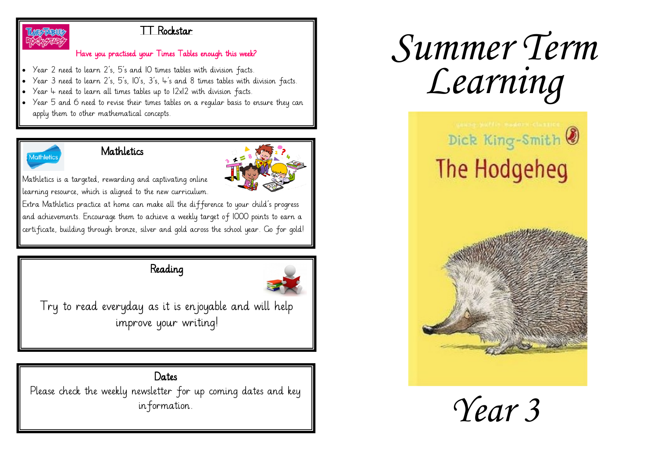

#### TT Rockstar

#### Have you practised your Times Tables enough this week?

- Year 2 need to learn 2's, 5's and 10 times tables with division facts.
- Year 3 need to learn 2's, 5's, 10's, 3's, 4's and 8 times tables with division facts.
- Year  $4$  need to learn all times tables up to  $12x12$  with division facts.
- Year 5 and 6 need to revise their times tables on a regular basis to ensure they can apply them to other mathematical concepts.



#### **Mathletics**



Mathletics is a targeted, rewarding and captivating online learning resource, which is aligned to the new curriculum.

Extra Mathletics practice at home can make all the difference to your child's progress and achievements. Encourage them to achieve a weekly target of 1000 points to earn a certificate, building through bronze, silver and gold across the school year. Go for gold!

## Reading



Try to read everyday as it is enjoyable and will help improve your writing!

# Dates

Please check the weekly newsletter for up coming dates and key information.

# *Summer Term Learning*



*Year 3*